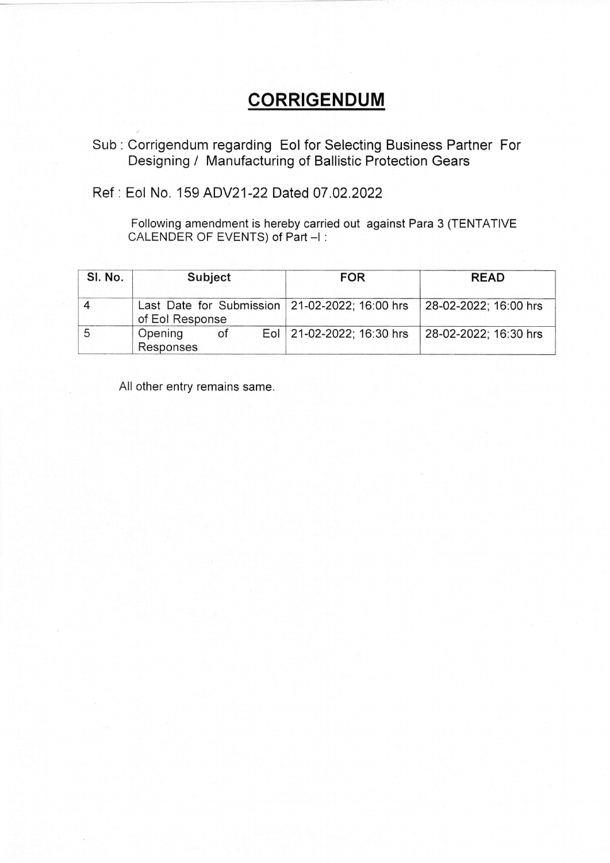## **CORRIGENDUM**

- Sub : Corrigendum regarding Eol for Selecting Business Partner For Designing / Manufacturing of Ballistic Protection Gears
- Ref : Eol No. 159 ADV21-22 Dated 07 .02.2022

Following amendment is hereby carried out against Para 3 (TENTATIVE CALENDER OF EVENTS) of Part -I :

| SI. No. | <b>Subject</b>                                                      |    | <b>FOR</b> | <b>READ</b>                 |                       |
|---------|---------------------------------------------------------------------|----|------------|-----------------------------|-----------------------|
|         | Last Date for Submission   21-02-2022; 16:00 hrs<br>of Eol Response |    |            |                             | 28-02-2022; 16:00 hrs |
| 5       | Opening<br>Responses                                                | ot |            | Eol   21-02-2022; 16:30 hrs | 28-02-2022; 16:30 hrs |

All other entry remains same.